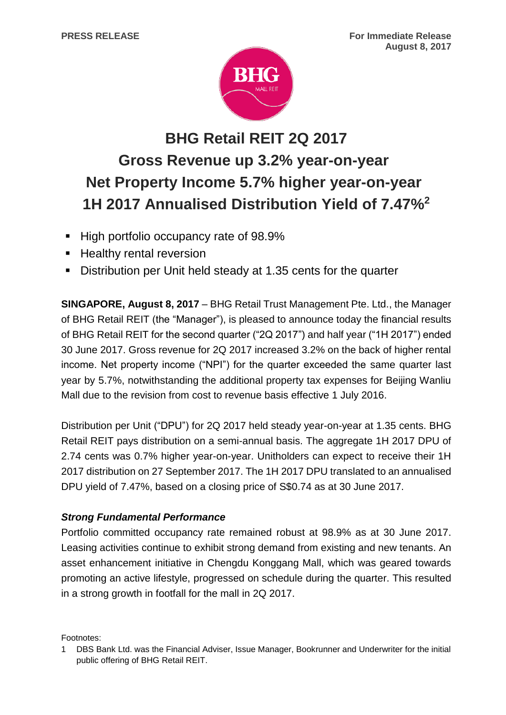

# **BHG Retail REIT 2Q 2017 Gross Revenue up 3.2% year-on-year Net Property Income 5.7% higher year-on-year 1H 2017 Annualised Distribution Yield of 7.47%<sup>2</sup>**

- High portfolio occupancy rate of 98.9%
- Healthy rental reversion
- Distribution per Unit held steady at 1.35 cents for the quarter

**SINGAPORE, August 8, 2017** – BHG Retail Trust Management Pte. Ltd., the Manager of BHG Retail REIT (the "Manager"), is pleased to announce today the financial results of BHG Retail REIT for the second quarter ("2Q 2017") and half year ("1H 2017") ended 30 June 2017. Gross revenue for 2Q 2017 increased 3.2% on the back of higher rental income. Net property income ("NPI") for the quarter exceeded the same quarter last year by 5.7%, notwithstanding the additional property tax expenses for Beijing Wanliu Mall due to the revision from cost to revenue basis effective 1 July 2016.

Distribution per Unit ("DPU") for 2Q 2017 held steady year-on-year at 1.35 cents. BHG Retail REIT pays distribution on a semi-annual basis. The aggregate 1H 2017 DPU of 2.74 cents was 0.7% higher year-on-year. Unitholders can expect to receive their 1H 2017 distribution on 27 September 2017. The 1H 2017 DPU translated to an annualised DPU yield of 7.47%, based on a closing price of S\$0.74 as at 30 June 2017.

## *Strong Fundamental Performance*

Portfolio committed occupancy rate remained robust at 98.9% as at 30 June 2017. Leasing activities continue to exhibit strong demand from existing and new tenants. An asset enhancement initiative in Chengdu Konggang Mall, which was geared towards promoting an active lifestyle, progressed on schedule during the quarter. This resulted in a strong growth in footfall for the mall in 2Q 2017.

Footnotes:

<sup>1</sup> DBS Bank Ltd. was the Financial Adviser, Issue Manager, Bookrunner and Underwriter for the initial public offering of BHG Retail REIT.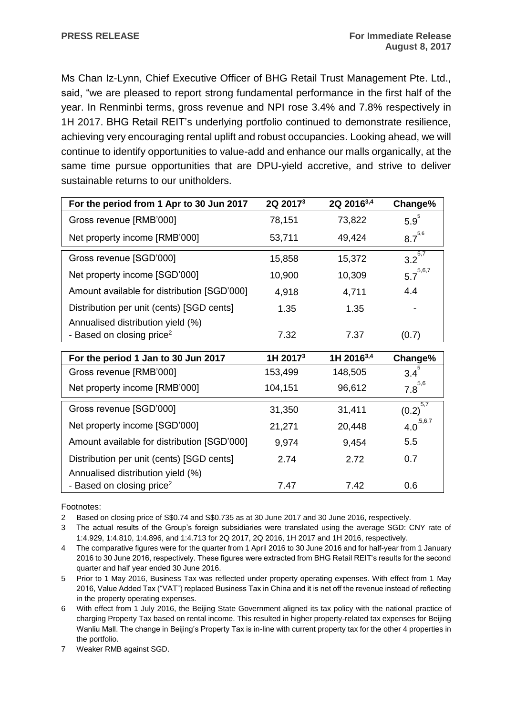Ms Chan Iz-Lynn, Chief Executive Officer of BHG Retail Trust Management Pte. Ltd., said, "we are pleased to report strong fundamental performance in the first half of the year. In Renminbi terms, gross revenue and NPI rose 3.4% and 7.8% respectively in 1H 2017. BHG Retail REIT's underlying portfolio continued to demonstrate resilience, achieving very encouraging rental uplift and robust occupancies. Looking ahead, we will continue to identify opportunities to value-add and enhance our malls organically, at the same time pursue opportunities that are DPU-yield accretive, and strive to deliver sustainable returns to our unitholders.

| For the period from 1 Apr to 30 Jun 2017    | 2Q 2017 <sup>3</sup> | 2Q 2016 <sup>3,4</sup> | Change%                |
|---------------------------------------------|----------------------|------------------------|------------------------|
| Gross revenue [RMB'000]                     | 78,151               | 73,822                 | 5.9 <sup>5</sup>       |
| Net property income [RMB'000]               | 53,711               | 49,424                 | $8.7^{5,6}$            |
| Gross revenue [SGD'000]                     | 15,858               | 15,372                 | $3.2^{\overline{5,7}}$ |
| Net property income [SGD'000]               | 10,900               | 10,309                 | $5.7^{5,6,7}$          |
| Amount available for distribution [SGD'000] | 4,918                | 4,711                  | 4.4                    |
| Distribution per unit (cents) [SGD cents]   | 1.35                 | 1.35                   |                        |
| Annualised distribution yield (%)           |                      |                        |                        |
| - Based on closing price <sup>2</sup>       | 7.32                 | 7.37                   | (0.7)                  |
|                                             |                      |                        |                        |
| For the period 1 Jan to 30 Jun 2017         | 1H 2017 <sup>3</sup> | 1H 2016 <sup>3,4</sup> | Change%                |
| Gross revenue [RMB'000]                     | 153,499              | 148,505                | $3.4^{5}$              |
| Net property income [RMB'000]               | 104,151              | 96,612                 | $7.8^{5,6}$            |
| Gross revenue [SGD'000]                     | 31,350               | 31,411                 | 5,7<br>(0.2)           |
| Net property income [SGD'000]               | 21,271               | 20,448                 | $4.0^{5,6,7}$          |
| Amount available for distribution [SGD'000] | 9,974                | 9,454                  | 5.5                    |
| Distribution per unit (cents) [SGD cents]   | 2.74                 | 2.72                   | 0.7                    |
| Annualised distribution yield (%)           |                      |                        |                        |

Footnotes:

2 Based on closing price of S\$0.74 and S\$0.735 as at 30 June 2017 and 30 June 2016, respectively.

3 The actual results of the Group's foreign subsidiaries were translated using the average SGD: CNY rate of 1:4.929, 1:4.810, 1:4.896, and 1:4.713 for 2Q 2017, 2Q 2016, 1H 2017 and 1H 2016, respectively.

4 The comparative figures were for the quarter from 1 April 2016 to 30 June 2016 and for half-year from 1 January 2016 to 30 June 2016, respectively. These figures were extracted from BHG Retail REIT's results for the second quarter and half year ended 30 June 2016.

5 Prior to 1 May 2016, Business Tax was reflected under property operating expenses. With effect from 1 May 2016, Value Added Tax ("VAT") replaced Business Tax in China and it is net off the revenue instead of reflecting in the property operating expenses.

6 With effect from 1 July 2016, the Beijing State Government aligned its tax policy with the national practice of charging Property Tax based on rental income. This resulted in higher property-related tax expenses for Beijing Wanliu Mall. The change in Beijing's Property Tax is in-line with current property tax for the other 4 properties in the portfolio.

7 Weaker RMB against SGD.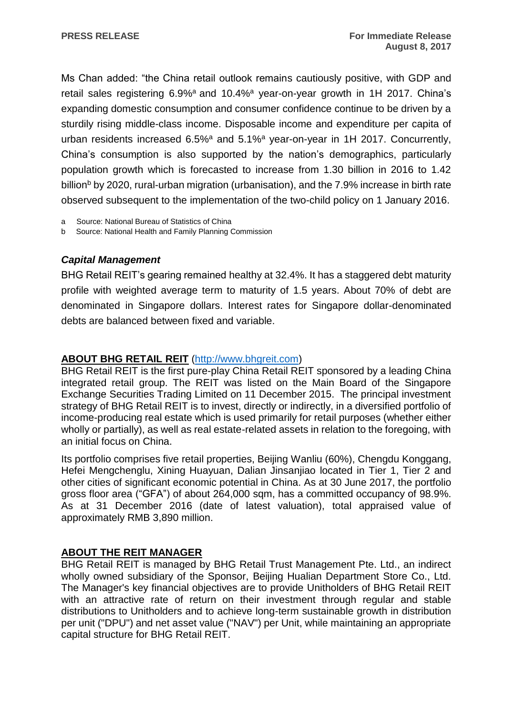Ms Chan added: "the China retail outlook remains cautiously positive, with GDP and retail sales registering  $6.9\%$ <sup>a</sup> and  $10.4\%$ <sup>a</sup> year-on-year growth in 1H 2017. China's expanding domestic consumption and consumer confidence continue to be driven by a sturdily rising middle-class income. Disposable income and expenditure per capita of urban residents increased  $6.5\%$ <sup>a</sup> and  $5.1\%$ <sup>a</sup> year-on-year in 1H 2017. Concurrently, China's consumption is also supported by the nation's demographics, particularly population growth which is forecasted to increase from 1.30 billion in 2016 to 1.42 billion<sup>b</sup> by 2020, rural-urban migration (urbanisation), and the 7.9% increase in birth rate observed subsequent to the implementation of the two-child policy on 1 January 2016.

a Source: National Bureau of Statistics of China

b Source: National Health and Family Planning Commission

#### *Capital Management*

BHG Retail REIT's gearing remained healthy at 32.4%. It has a staggered debt maturity profile with weighted average term to maturity of 1.5 years. About 70% of debt are denominated in Singapore dollars. Interest rates for Singapore dollar-denominated debts are balanced between fixed and variable.

#### **ABOUT BHG RETAIL REIT** [\(http://www.bhgreit.com\)](http://www.bhgreit.com/)

BHG Retail REIT is the first pure-play China Retail REIT sponsored by a leading China integrated retail group. The REIT was listed on the Main Board of the Singapore Exchange Securities Trading Limited on 11 December 2015. The principal investment strategy of BHG Retail REIT is to invest, directly or indirectly, in a diversified portfolio of income-producing real estate which is used primarily for retail purposes (whether either wholly or partially), as well as real estate-related assets in relation to the foregoing, with an initial focus on China.

Its portfolio comprises five retail properties, Beijing Wanliu (60%), Chengdu Konggang, Hefei Mengchenglu, Xining Huayuan, Dalian Jinsanjiao located in Tier 1, Tier 2 and other cities of significant economic potential in China. As at 30 June 2017, the portfolio gross floor area ("GFA") of about 264,000 sqm, has a committed occupancy of 98.9%. As at 31 December 2016 (date of latest valuation), total appraised value of approximately RMB 3,890 million.

#### **ABOUT THE REIT MANAGER**

BHG Retail REIT is managed by BHG Retail Trust Management Pte. Ltd., an indirect wholly owned subsidiary of the Sponsor, Beijing Hualian Department Store Co., Ltd. The Manager's key financial objectives are to provide Unitholders of BHG Retail REIT with an attractive rate of return on their investment through regular and stable distributions to Unitholders and to achieve long-term sustainable growth in distribution per unit ("DPU") and net asset value ("NAV") per Unit, while maintaining an appropriate capital structure for BHG Retail REIT.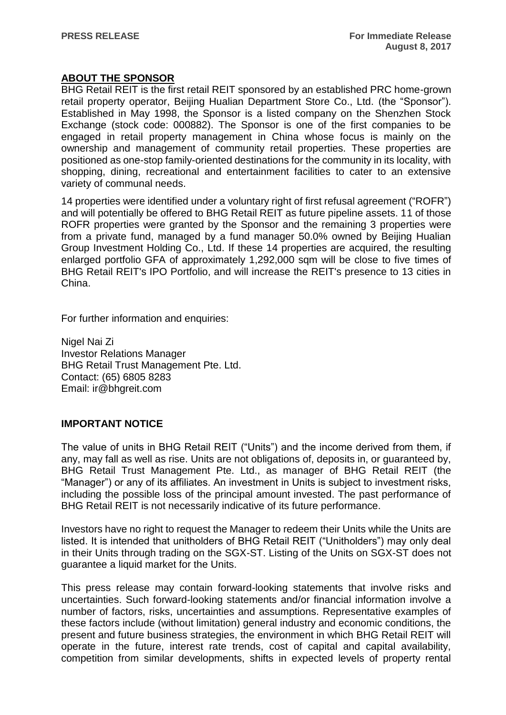### **ABOUT THE SPONSOR**

BHG Retail REIT is the first retail REIT sponsored by an established PRC home-grown retail property operator, Beijing Hualian Department Store Co., Ltd. (the "Sponsor"). Established in May 1998, the Sponsor is a listed company on the Shenzhen Stock Exchange (stock code: 000882). The Sponsor is one of the first companies to be engaged in retail property management in China whose focus is mainly on the ownership and management of community retail properties. These properties are positioned as one-stop family-oriented destinations for the community in its locality, with shopping, dining, recreational and entertainment facilities to cater to an extensive variety of communal needs.

14 properties were identified under a voluntary right of first refusal agreement ("ROFR") and will potentially be offered to BHG Retail REIT as future pipeline assets. 11 of those ROFR properties were granted by the Sponsor and the remaining 3 properties were from a private fund, managed by a fund manager 50.0% owned by Beijing Hualian Group Investment Holding Co., Ltd. If these 14 properties are acquired, the resulting enlarged portfolio GFA of approximately 1,292,000 sqm will be close to five times of BHG Retail REIT's IPO Portfolio, and will increase the REIT's presence to 13 cities in China.

For further information and enquiries:

Nigel Nai Zi Investor Relations Manager BHG Retail Trust Management Pte. Ltd. Contact: (65) 6805 8283 Email: ir@bhgreit.com

### **IMPORTANT NOTICE**

The value of units in BHG Retail REIT ("Units") and the income derived from them, if any, may fall as well as rise. Units are not obligations of, deposits in, or guaranteed by, BHG Retail Trust Management Pte. Ltd., as manager of BHG Retail REIT (the "Manager") or any of its affiliates. An investment in Units is subject to investment risks, including the possible loss of the principal amount invested. The past performance of BHG Retail REIT is not necessarily indicative of its future performance.

Investors have no right to request the Manager to redeem their Units while the Units are listed. It is intended that unitholders of BHG Retail REIT ("Unitholders") may only deal in their Units through trading on the SGX-ST. Listing of the Units on SGX-ST does not guarantee a liquid market for the Units.

This press release may contain forward-looking statements that involve risks and uncertainties. Such forward-looking statements and/or financial information involve a number of factors, risks, uncertainties and assumptions. Representative examples of these factors include (without limitation) general industry and economic conditions, the present and future business strategies, the environment in which BHG Retail REIT will operate in the future, interest rate trends, cost of capital and capital availability, competition from similar developments, shifts in expected levels of property rental